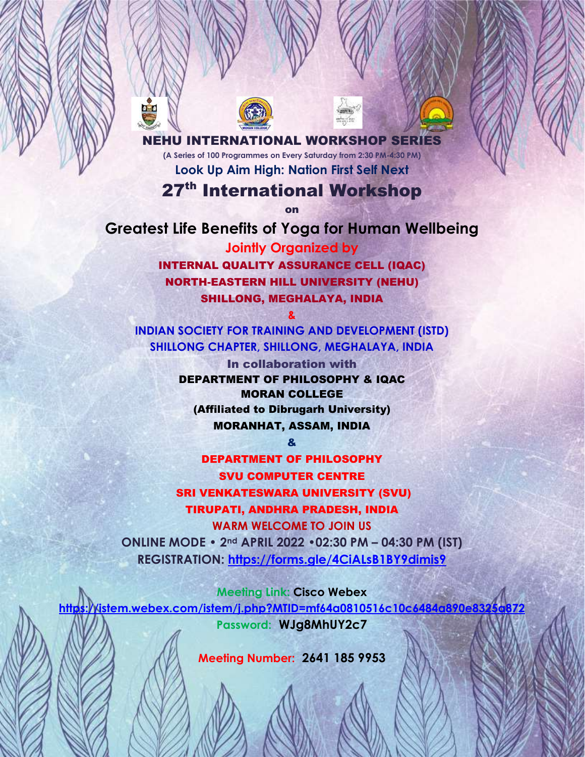**IEHU INTERNATIONAL WORKSHOP SERIES (A Series of 100 Programmes on Every Saturday from 2:30 PM-4:30 PM) Look Up Aim High: Nation First Self Next**

## 27<sup>th</sup> International Workshop

on

**Greatest Life Benefits of Yoga for Human Wellbeing Jointly Organized by**  INTERNAL QUALITY ASSURANCE CELL (IQAC) NORTH-EASTERN HILL UNIVERSITY (NEHU) SHILLONG, MEGHALAYA, INDIA

**INDIAN SOCIETY FOR TRAINING AND DEVELOPMENT (ISTD) SHILLONG CHAPTER, SHILLONG, MEGHALAYA, INDIA**

**&**

In collaboration with DEPARTMENT OF PHILOSOPHY & IQAC MORAN COLLEGE (Affiliated to Dibrugarh University) MORANHAT, ASSAM, INDIA

&

DEPARTMENT OF PHILOSOPHY SVU COMPUTER CENTRE SRI VENKATESWARA UNIVERSITY (SVU) TIRUPATI, ANDHRA PRADESH, INDIA **WARM WELCOME TO JOIN US ONLINE MODE • 2nd APRIL 2022 •02:30 PM – 04:30 PM (IST) REGISTRATION: <https://forms.gle/4CiALsB1BY9dimis9>**

**Meeting Link: Cisco Webex <https://istem.webex.com/istem/j.php?MTID=mf64a0810516c10c6484a890e8325a872> Password: WJg8MhUY2c7**

**Meeting Number: 2641 185 9953**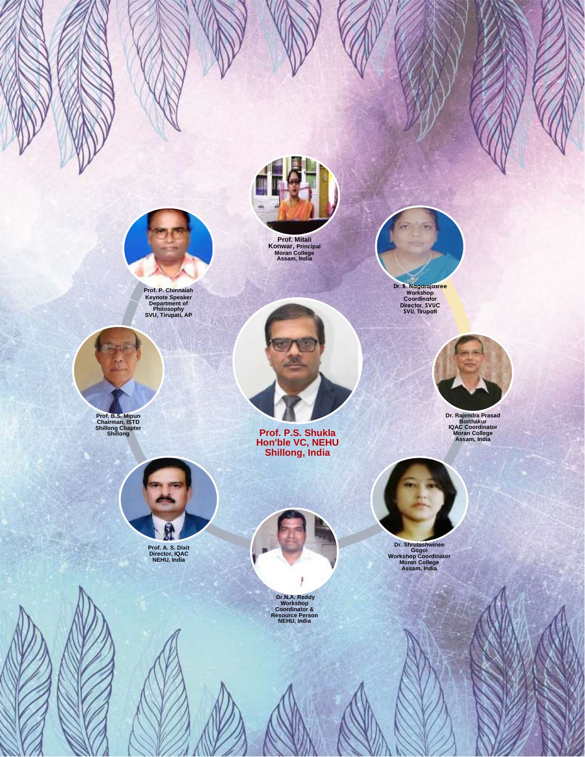

**Prof. P. Chinnaiah Keynote Speaker Department of Philosophy SVU, Tirupati, AP** 



**Prof. B.S. Mipun Chairman, ISTD Shillong Chapter Shillong**

**USI** 



**Prof. A. S. Dixit Director, IQAC NEHU, India**



**Prof. Mitali Konwar, Principal Moran College Assam, India**



**Prof. P.S. Shukla Hon'ble VC, NEHU Shillong, India**



**Dr.N.A. Reddy Workshop Coordinator & Resource Person NEHU, India**





**Dr. Rajendra Prasad Borthakur IQAC Coordinator Moran College Assam, India**



**Dr. Shrutashwinee Gogoi Workshop Coordinator Moran College Assam, India**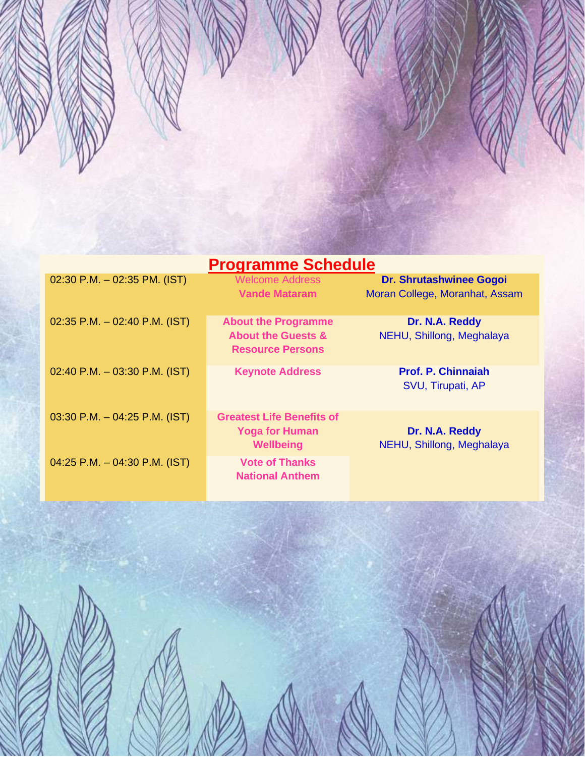

| <b>Programme Schedule</b>        |                                                                                        |                                                                  |
|----------------------------------|----------------------------------------------------------------------------------------|------------------------------------------------------------------|
| 02:30 P.M. $-$ 02:35 PM. (IST)   | <b>Welcome Address</b><br><b>Vande Mataram</b>                                         | <b>Dr. Shrutashwinee Gogoi</b><br>Moran College, Moranhat, Assam |
| $02:35$ P.M. $-02:40$ P.M. (IST) | <b>About the Programme</b><br><b>About the Guests &amp;</b><br><b>Resource Persons</b> | Dr. N.A. Reddy<br>NEHU, Shillong, Meghalaya                      |
| $02:40$ P.M. $-03:30$ P.M. (IST) | <b>Keynote Address</b>                                                                 | <b>Prof. P. Chinnaiah</b><br>SVU, Tirupati, AP                   |
| $03:30$ P.M. $-04:25$ P.M. (IST) | <b>Greatest Life Benefits of</b><br><b>Yoga for Human</b><br>Wellbeing                 | Dr. N.A. Reddy<br>NEHU, Shillong, Meghalaya                      |
| 04:25 P.M. $-$ 04:30 P.M. (IST)  | <b>Vote of Thanks</b><br><b>National Anthem</b>                                        |                                                                  |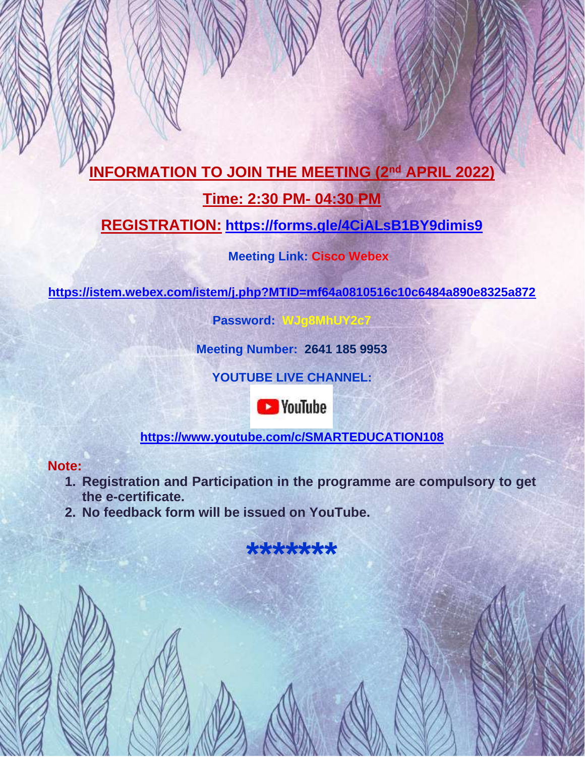# **INFORMATION TO JOIN THE MEETING (2<sup>nd</sup> APRIL 2022)**

### **Time: 2:30 PM- 04:30 PM**

## **REGISTRATION: <https://forms.gle/4CiALsB1BY9dimis9>**

### **Meeting Link: Cisco Webex**

**<https://istem.webex.com/istem/j.php?MTID=mf64a0810516c10c6484a890e8325a872>** 

**Password: WJg8MhUY2c7**

**Meeting Number: 2641 185 9953**

**YOUTUBE LIVE CHANNEL:** 



**<https://www.youtube.com/c/SMARTEDUCATION108>**

### **Note:**

- **1. Registration and Participation in the programme are compulsory to get the e-certificate.**
- **2. No feedback form will be issued on YouTube.**

**\*\*\*\*\*\*\***